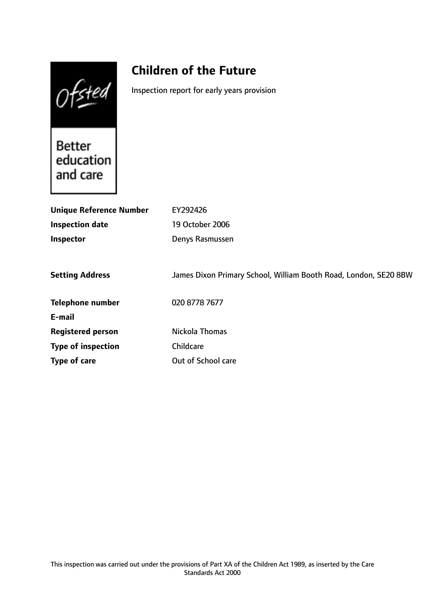Ofsted

# **Children of the Future**

Inspection report for early years provision

Better<br>education and care

| <b>Unique Reference Number</b> | EY292426                                                         |
|--------------------------------|------------------------------------------------------------------|
| <b>Inspection date</b>         | 19 October 2006                                                  |
| Inspector                      | Denys Rasmussen                                                  |
|                                |                                                                  |
| <b>Setting Address</b>         | James Dixon Primary School, William Booth Road, London, SE20 8BW |
| <b>Telephone number</b>        | 020 8778 7677                                                    |
| E-mail                         |                                                                  |
| <b>Registered person</b>       | Nickola Thomas                                                   |
| <b>Type of inspection</b>      | Childcare                                                        |
| Type of care                   | Out of School care                                               |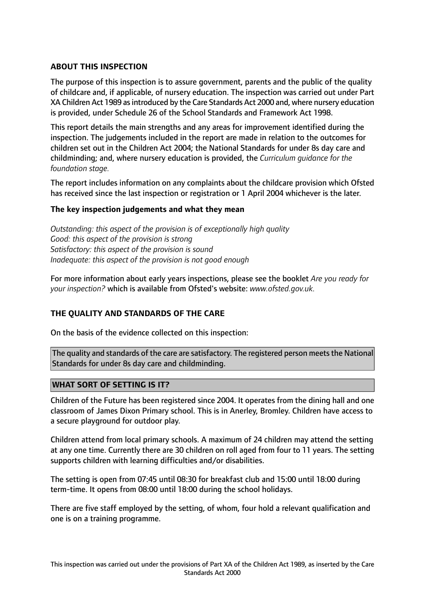## **ABOUT THIS INSPECTION**

The purpose of this inspection is to assure government, parents and the public of the quality of childcare and, if applicable, of nursery education. The inspection was carried out under Part XA Children Act 1989 asintroduced by the Care Standards Act 2000 and, where nursery education is provided, under Schedule 26 of the School Standards and Framework Act 1998.

This report details the main strengths and any areas for improvement identified during the inspection. The judgements included in the report are made in relation to the outcomes for children set out in the Children Act 2004; the National Standards for under 8s day care and childminding; and, where nursery education is provided, the *Curriculum guidance for the foundation stage.*

The report includes information on any complaints about the childcare provision which Ofsted has received since the last inspection or registration or 1 April 2004 whichever is the later.

## **The key inspection judgements and what they mean**

*Outstanding: this aspect of the provision is of exceptionally high quality Good: this aspect of the provision is strong Satisfactory: this aspect of the provision is sound Inadequate: this aspect of the provision is not good enough*

For more information about early years inspections, please see the booklet *Are you ready for your inspection?* which is available from Ofsted's website: *www.ofsted.gov.uk.*

## **THE QUALITY AND STANDARDS OF THE CARE**

On the basis of the evidence collected on this inspection:

The quality and standards of the care are satisfactory. The registered person meets the National Standards for under 8s day care and childminding.

## **WHAT SORT OF SETTING IS IT?**

Children of the Future has been registered since 2004. It operates from the dining hall and one classroom of James Dixon Primary school. This is in Anerley, Bromley. Children have access to a secure playground for outdoor play.

Children attend from local primary schools. A maximum of 24 children may attend the setting at any one time. Currently there are 30 children on roll aged from four to 11 years. The setting supports children with learning difficulties and/or disabilities.

The setting is open from 07:45 until 08:30 for breakfast club and 15:00 until 18:00 during term-time. It opens from 08:00 until 18:00 during the school holidays.

There are five staff employed by the setting, of whom, four hold a relevant qualification and one is on a training programme.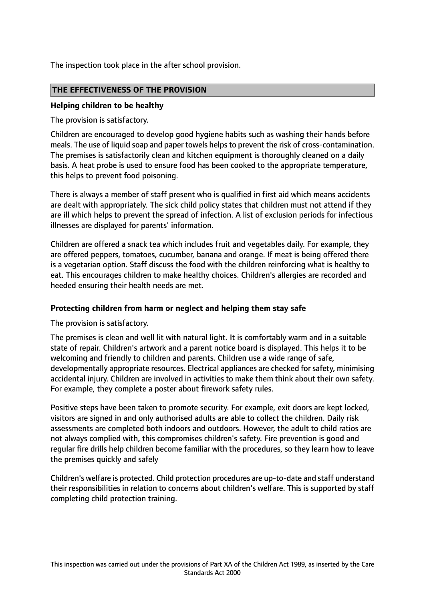The inspection took place in the after school provision.

## **THE EFFECTIVENESS OF THE PROVISION**

#### **Helping children to be healthy**

The provision is satisfactory.

Children are encouraged to develop good hygiene habits such as washing their hands before meals. The use of liquid soap and paper towels helps to prevent the risk of cross-contamination. The premises is satisfactorily clean and kitchen equipment is thoroughly cleaned on a daily basis. A heat probe is used to ensure food has been cooked to the appropriate temperature, this helps to prevent food poisoning.

There is always a member of staff present who is qualified in first aid which means accidents are dealt with appropriately. The sick child policy states that children must not attend if they are ill which helps to prevent the spread of infection. A list of exclusion periods for infectious illnesses are displayed for parents' information.

Children are offered a snack tea which includes fruit and vegetables daily. For example, they are offered peppers, tomatoes, cucumber, banana and orange. If meat is being offered there is a vegetarian option. Staff discuss the food with the children reinforcing what is healthy to eat. This encourages children to make healthy choices. Children's allergies are recorded and heeded ensuring their health needs are met.

## **Protecting children from harm or neglect and helping them stay safe**

The provision is satisfactory.

The premises is clean and well lit with natural light. It is comfortably warm and in a suitable state of repair. Children's artwork and a parent notice board is displayed. This helps it to be welcoming and friendly to children and parents. Children use a wide range of safe, developmentally appropriate resources. Electrical appliances are checked for safety, minimising accidental injury. Children are involved in activities to make them think about their own safety. For example, they complete a poster about firework safety rules.

Positive steps have been taken to promote security. For example, exit doors are kept locked, visitors are signed in and only authorised adults are able to collect the children. Daily risk assessments are completed both indoors and outdoors. However, the adult to child ratios are not always complied with, this compromises children's safety. Fire prevention is good and regular fire drills help children become familiar with the procedures, so they learn how to leave the premises quickly and safely

Children's welfare is protected. Child protection procedures are up-to-date and staff understand their responsibilities in relation to concerns about children's welfare. This is supported by staff completing child protection training.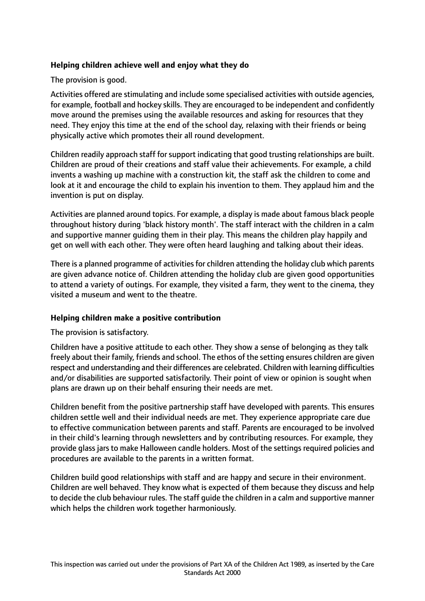## **Helping children achieve well and enjoy what they do**

The provision is good.

Activities offered are stimulating and include some specialised activities with outside agencies, for example, football and hockey skills. They are encouraged to be independent and confidently move around the premises using the available resources and asking for resources that they need. They enjoy this time at the end of the school day, relaxing with their friends or being physically active which promotes their all round development.

Children readily approach staff for support indicating that good trusting relationships are built. Children are proud of their creations and staff value their achievements. For example, a child invents a washing up machine with a construction kit, the staff ask the children to come and look at it and encourage the child to explain his invention to them. They applaud him and the invention is put on display.

Activities are planned around topics. For example, a display is made about famous black people throughout history during 'black history month'. The staff interact with the children in a calm and supportive manner guiding them in their play. This means the children play happily and get on well with each other. They were often heard laughing and talking about their ideas.

There is a planned programme of activities for children attending the holiday club which parents are given advance notice of. Children attending the holiday club are given good opportunities to attend a variety of outings. For example, they visited a farm, they went to the cinema, they visited a museum and went to the theatre.

## **Helping children make a positive contribution**

The provision is satisfactory.

Children have a positive attitude to each other. They show a sense of belonging as they talk freely about their family, friends and school. The ethos of the setting ensures children are given respect and understanding and their differences are celebrated. Children with learning difficulties and/or disabilities are supported satisfactorily. Their point of view or opinion is sought when plans are drawn up on their behalf ensuring their needs are met.

Children benefit from the positive partnership staff have developed with parents. This ensures children settle well and their individual needs are met. They experience appropriate care due to effective communication between parents and staff. Parents are encouraged to be involved in their child's learning through newsletters and by contributing resources. For example, they provide glass jars to make Halloween candle holders. Most of the settings required policies and procedures are available to the parents in a written format.

Children build good relationships with staff and are happy and secure in their environment. Children are well behaved. They know what is expected of them because they discuss and help to decide the club behaviour rules. The staff guide the children in a calm and supportive manner which helps the children work together harmoniously.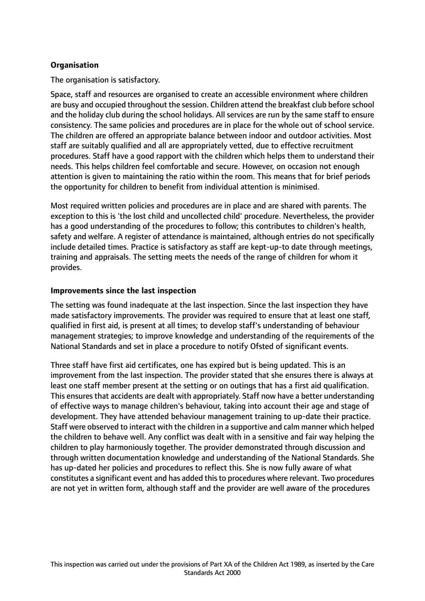## **Organisation**

The organisation is satisfactory.

Space, staff and resources are organised to create an accessible environment where children are busy and occupied throughout the session. Children attend the breakfast club before school and the holiday club during the school holidays. All services are run by the same staff to ensure consistency. The same policies and procedures are in place for the whole out of school service. The children are offered an appropriate balance between indoor and outdoor activities. Most staff are suitably qualified and all are appropriately vetted, due to effective recruitment procedures. Staff have a good rapport with the children which helps them to understand their needs. This helps children feel comfortable and secure. However, on occasion not enough attention is given to maintaining the ratio within the room. This means that for brief periods the opportunity for children to benefit from individual attention is minimised.

Most required written policies and procedures are in place and are shared with parents. The exception to this is 'the lost child and uncollected child' procedure. Nevertheless, the provider has a good understanding of the procedures to follow; this contributes to children's health, safety and welfare. A register of attendance is maintained, although entries do not specifically include detailed times. Practice is satisfactory as staff are kept-up-to date through meetings, training and appraisals. The setting meets the needs of the range of children for whom it provides.

## **Improvements since the last inspection**

The setting was found inadequate at the last inspection. Since the last inspection they have made satisfactory improvements. The provider was required to ensure that at least one staff, qualified in first aid, is present at all times; to develop staff's understanding of behaviour management strategies; to improve knowledge and understanding of the requirements of the National Standards and set in place a procedure to notify Ofsted of significant events.

Three staff have first aid certificates, one has expired but is being updated. This is an improvement from the last inspection. The provider stated that she ensures there is always at least one staff member present at the setting or on outings that has a first aid qualification. This ensures that accidents are dealt with appropriately. Staff now have a better understanding of effective ways to manage children's behaviour, taking into account their age and stage of development. They have attended behaviour management training to up-date their practice. Staff were observed to interact with the children in a supportive and calm manner which helped the children to behave well. Any conflict was dealt with in a sensitive and fair way helping the children to play harmoniously together. The provider demonstrated through discussion and through written documentation knowledge and understanding of the National Standards. She has up-dated her policies and procedures to reflect this. She is now fully aware of what constitutes a significant event and has added thisto procedures where relevant. Two procedures are not yet in written form, although staff and the provider are well aware of the procedures